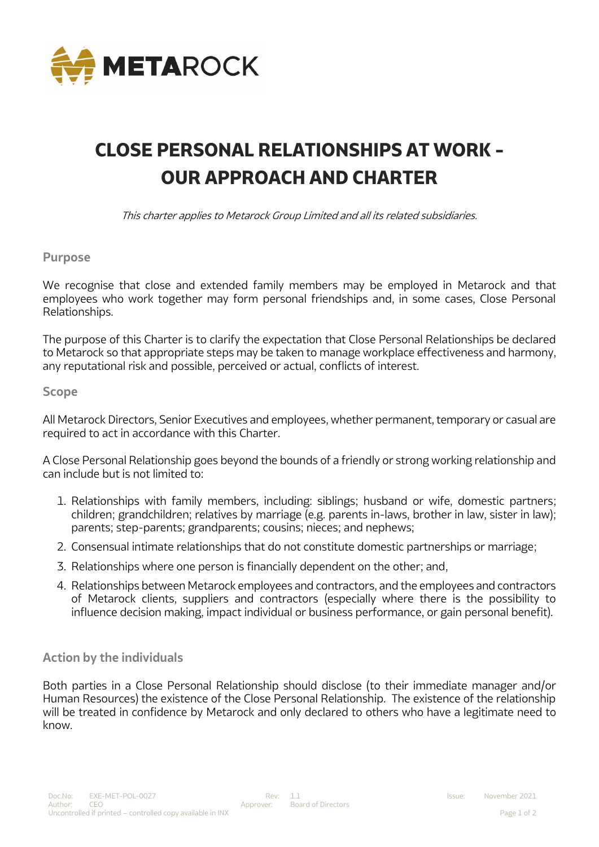

# **CLOSE PERSONAL RELATIONSHIPS AT WORK - OUR APPROACH AND CHARTER**

This charter applies to Metarock Group Limited and all its related subsidiaries.

#### **Purpose**

We recognise that close and extended family members may be employed in Metarock and that employees who work together may form personal friendships and, in some cases, Close Personal Relationships.

The purpose of this Charter is to clarify the expectation that Close Personal Relationships be declared to Metarock so that appropriate steps may be taken to manage workplace effectiveness and harmony, any reputational risk and possible, perceived or actual, conflicts of interest.

#### **Scope**

All Metarock Directors, Senior Executives and employees, whether permanent, temporary or casual are required to act in accordance with this Charter.

A Close Personal Relationship goes beyond the bounds of a friendly or strong working relationship and can include but is not limited to:

- 1. Relationships with family members, including: siblings; husband or wife, domestic partners; children; grandchildren; relatives by marriage (e.g. parents in-laws, brother in law, sister in law); parents; step-parents; grandparents; cousins; nieces; and nephews;
- 2. Consensual intimate relationships that do not constitute domestic partnerships or marriage;
- 3. Relationships where one person is financially dependent on the other; and,
- 4. Relationships between Metarock employees and contractors, and the employees and contractors of Metarock clients, suppliers and contractors (especially where there is the possibility to influence decision making, impact individual or business performance, or gain personal benefit).

## **Action by the individuals**

Both parties in a Close Personal Relationship should disclose (to their immediate manager and/or Human Resources) the existence of the Close Personal Relationship. The existence of the relationship will be treated in confidence by Metarock and only declared to others who have a legitimate need to know.